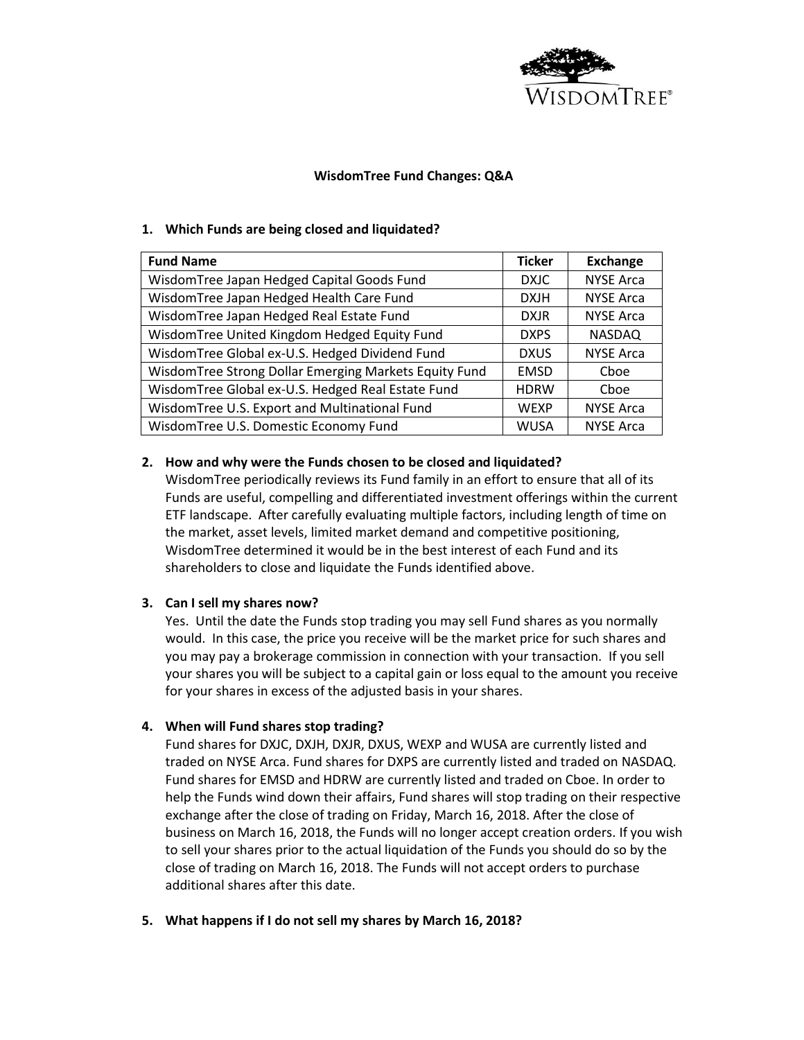

# **WisdomTree Fund Changes: Q&A**

## **1. Which Funds are being closed and liquidated?**

| <b>Fund Name</b>                                      | <b>Ticker</b> | Exchange         |
|-------------------------------------------------------|---------------|------------------|
| WisdomTree Japan Hedged Capital Goods Fund            | <b>DXJC</b>   | <b>NYSE Arca</b> |
| WisdomTree Japan Hedged Health Care Fund              | <b>DXJH</b>   | <b>NYSE Arca</b> |
| WisdomTree Japan Hedged Real Estate Fund              | <b>DXJR</b>   | <b>NYSE Arca</b> |
| WisdomTree United Kingdom Hedged Equity Fund          | <b>DXPS</b>   | <b>NASDAQ</b>    |
| WisdomTree Global ex-U.S. Hedged Dividend Fund        | <b>DXUS</b>   | <b>NYSE Arca</b> |
| WisdomTree Strong Dollar Emerging Markets Equity Fund | <b>EMSD</b>   | Cboe             |
| WisdomTree Global ex-U.S. Hedged Real Estate Fund     | <b>HDRW</b>   | Choe             |
| WisdomTree U.S. Export and Multinational Fund         | <b>WEXP</b>   | <b>NYSE Arca</b> |
| WisdomTree U.S. Domestic Economy Fund                 | <b>WUSA</b>   | <b>NYSE Arca</b> |

### **2. How and why were the Funds chosen to be closed and liquidated?**

WisdomTree periodically reviews its Fund family in an effort to ensure that all of its Funds are useful, compelling and differentiated investment offerings within the current ETF landscape. After carefully evaluating multiple factors, including length of time on the market, asset levels, limited market demand and competitive positioning, WisdomTree determined it would be in the best interest of each Fund and its shareholders to close and liquidate the Funds identified above.

# **3. Can I sell my shares now?**

Yes. Until the date the Funds stop trading you may sell Fund shares as you normally would. In this case, the price you receive will be the market price for such shares and you may pay a brokerage commission in connection with your transaction. If you sell your shares you will be subject to a capital gain or loss equal to the amount you receive for your shares in excess of the adjusted basis in your shares.

#### **4. When will Fund shares stop trading?**

Fund shares for DXJC, DXJH, DXJR, DXUS, WEXP and WUSA are currently listed and traded on NYSE Arca. Fund shares for DXPS are currently listed and traded on NASDAQ. Fund shares for EMSD and HDRW are currently listed and traded on Cboe. In order to help the Funds wind down their affairs, Fund shares will stop trading on their respective exchange after the close of trading on Friday, March 16, 2018. After the close of business on March 16, 2018, the Funds will no longer accept creation orders. If you wish to sell your shares prior to the actual liquidation of the Funds you should do so by the close of trading on March 16, 2018. The Funds will not accept orders to purchase additional shares after this date.

#### **5. What happens if I do not sell my shares by March 16, 2018?**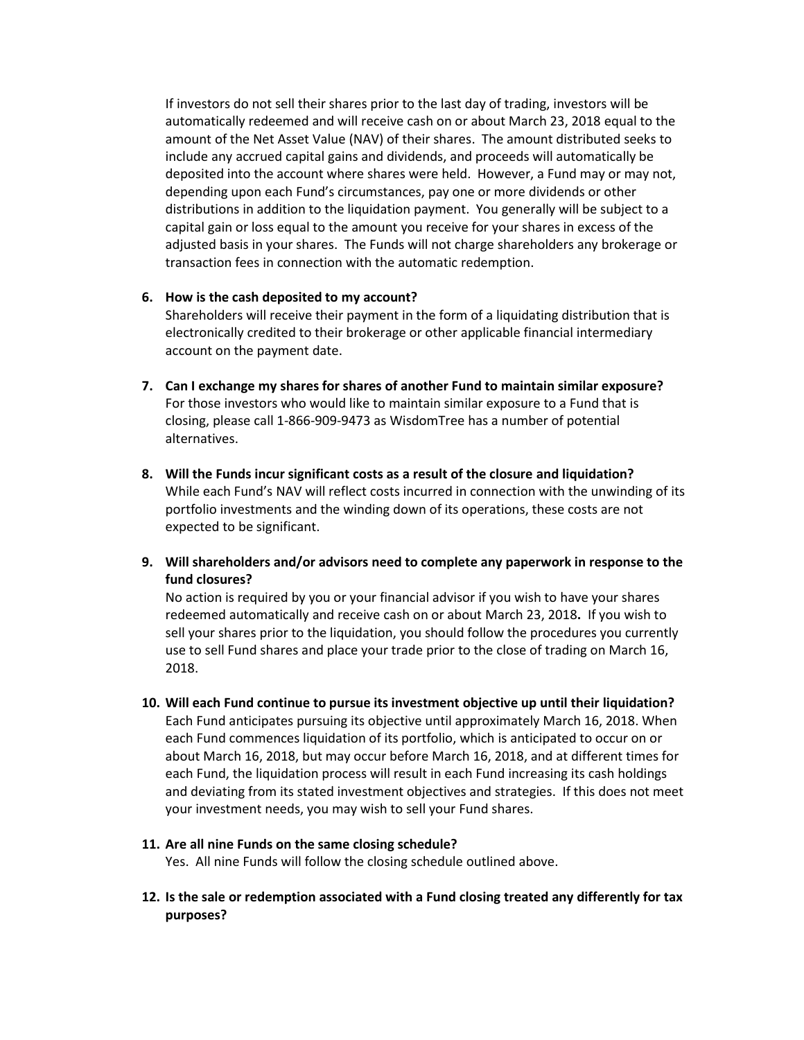If investors do not sell their shares prior to the last day of trading, investors will be automatically redeemed and will receive cash on or about March 23, 2018 equal to the amount of the Net Asset Value (NAV) of their shares. The amount distributed seeks to include any accrued capital gains and dividends, and proceeds will automatically be deposited into the account where shares were held. However, a Fund may or may not, depending upon each Fund's circumstances, pay one or more dividends or other distributions in addition to the liquidation payment. You generally will be subject to a capital gain or loss equal to the amount you receive for your shares in excess of the adjusted basis in your shares. The Funds will not charge shareholders any brokerage or transaction fees in connection with the automatic redemption.

### **6. How is the cash deposited to my account?**

Shareholders will receive their payment in the form of a liquidating distribution that is electronically credited to their brokerage or other applicable financial intermediary account on the payment date.

- **7. Can I exchange my shares for shares of another Fund to maintain similar exposure?** For those investors who would like to maintain similar exposure to a Fund that is closing, please call 1-866-909-9473 as WisdomTree has a number of potential alternatives.
- **8. Will the Funds incur significant costs as a result of the closure and liquidation?** While each Fund's NAV will reflect costs incurred in connection with the unwinding of its portfolio investments and the winding down of its operations, these costs are not expected to be significant.
- **9. Will shareholders and/or advisors need to complete any paperwork in response to the fund closures?**

No action is required by you or your financial advisor if you wish to have your shares redeemed automatically and receive cash on or about March 23, 2018**.** If you wish to sell your shares prior to the liquidation, you should follow the procedures you currently use to sell Fund shares and place your trade prior to the close of trading on March 16, 2018.

- **10. Will each Fund continue to pursue its investment objective up until their liquidation?** Each Fund anticipates pursuing its objective until approximately March 16, 2018. When each Fund commences liquidation of its portfolio, which is anticipated to occur on or about March 16, 2018, but may occur before March 16, 2018, and at different times for each Fund, the liquidation process will result in each Fund increasing its cash holdings and deviating from its stated investment objectives and strategies. If this does not meet your investment needs, you may wish to sell your Fund shares.
- **11. Are all nine Funds on the same closing schedule?** Yes. All nine Funds will follow the closing schedule outlined above.
- **12. Is the sale or redemption associated with a Fund closing treated any differently for tax purposes?**